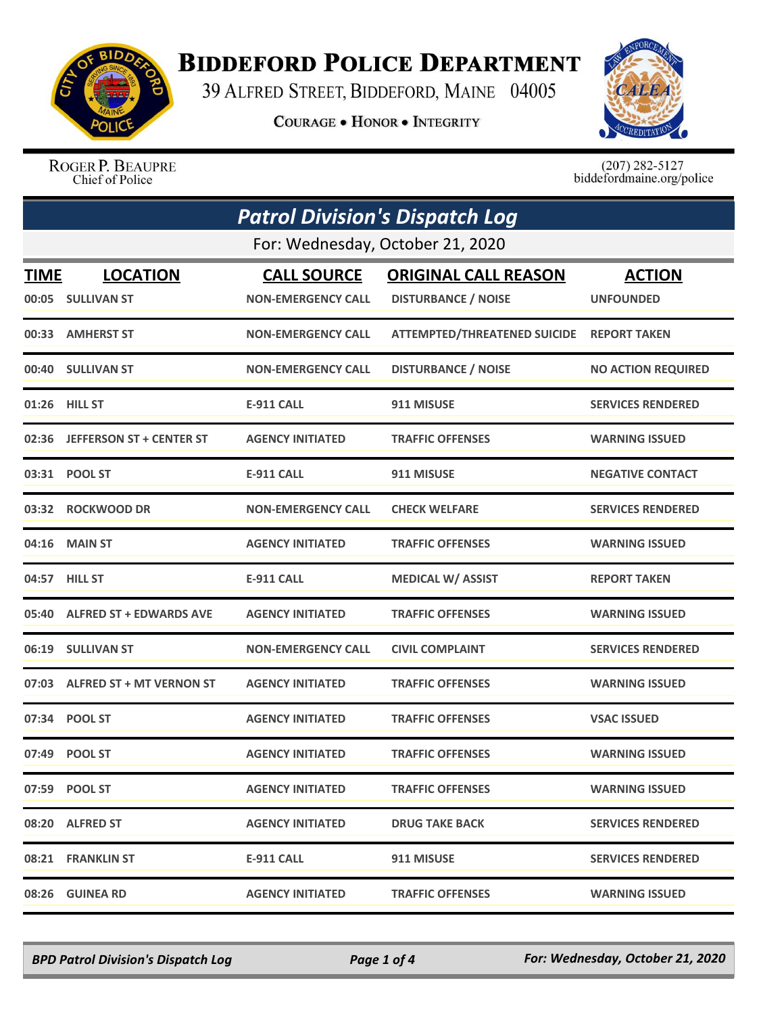

## **BIDDEFORD POLICE DEPARTMENT**

39 ALFRED STREET, BIDDEFORD, MAINE 04005

**COURAGE . HONOR . INTEGRITY** 



ROGER P. BEAUPRE Chief of Police

 $(207)$  282-5127 biddefordmaine.org/police

|             | <b>Patrol Division's Dispatch Log</b> |                           |                                     |                           |  |
|-------------|---------------------------------------|---------------------------|-------------------------------------|---------------------------|--|
|             | For: Wednesday, October 21, 2020      |                           |                                     |                           |  |
| <b>TIME</b> | <b>LOCATION</b>                       | <b>CALL SOURCE</b>        | <b>ORIGINAL CALL REASON</b>         | <b>ACTION</b>             |  |
|             | 00:05 SULLIVAN ST                     | <b>NON-EMERGENCY CALL</b> | <b>DISTURBANCE / NOISE</b>          | <b>UNFOUNDED</b>          |  |
|             | 00:33 AMHERST ST                      | <b>NON-EMERGENCY CALL</b> | <b>ATTEMPTED/THREATENED SUICIDE</b> | <b>REPORT TAKEN</b>       |  |
|             | 00:40 SULLIVAN ST                     | <b>NON-EMERGENCY CALL</b> | <b>DISTURBANCE / NOISE</b>          | <b>NO ACTION REQUIRED</b> |  |
|             | 01:26 HILL ST                         | <b>E-911 CALL</b>         | 911 MISUSE                          | <b>SERVICES RENDERED</b>  |  |
|             | 02:36 JEFFERSON ST + CENTER ST        | <b>AGENCY INITIATED</b>   | <b>TRAFFIC OFFENSES</b>             | <b>WARNING ISSUED</b>     |  |
|             | 03:31 POOL ST                         | <b>E-911 CALL</b>         | 911 MISUSE                          | <b>NEGATIVE CONTACT</b>   |  |
| 03:32       | <b>ROCKWOOD DR</b>                    | <b>NON-EMERGENCY CALL</b> | <b>CHECK WELFARE</b>                | <b>SERVICES RENDERED</b>  |  |
|             | 04:16 MAIN ST                         | <b>AGENCY INITIATED</b>   | <b>TRAFFIC OFFENSES</b>             | <b>WARNING ISSUED</b>     |  |
|             | 04:57 HILL ST                         | <b>E-911 CALL</b>         | <b>MEDICAL W/ ASSIST</b>            | <b>REPORT TAKEN</b>       |  |
|             | 05:40 ALFRED ST + EDWARDS AVE         | <b>AGENCY INITIATED</b>   | <b>TRAFFIC OFFENSES</b>             | <b>WARNING ISSUED</b>     |  |
|             | 06:19 SULLIVAN ST                     | <b>NON-EMERGENCY CALL</b> | <b>CIVIL COMPLAINT</b>              | <b>SERVICES RENDERED</b>  |  |
|             | 07:03 ALFRED ST + MT VERNON ST        | <b>AGENCY INITIATED</b>   | <b>TRAFFIC OFFENSES</b>             | <b>WARNING ISSUED</b>     |  |
|             | 07:34 POOL ST                         | <b>AGENCY INITIATED</b>   | <b>TRAFFIC OFFENSES</b>             | <b>VSAC ISSUED</b>        |  |
|             | 07:49 POOL ST                         | <b>AGENCY INITIATED</b>   | <b>TRAFFIC OFFENSES</b>             | <b>WARNING ISSUED</b>     |  |
|             | 07:59 POOL ST                         | <b>AGENCY INITIATED</b>   | <b>TRAFFIC OFFENSES</b>             | <b>WARNING ISSUED</b>     |  |
|             | 08:20 ALFRED ST                       | <b>AGENCY INITIATED</b>   | <b>DRUG TAKE BACK</b>               | <b>SERVICES RENDERED</b>  |  |
|             | 08:21 FRANKLIN ST                     | <b>E-911 CALL</b>         | 911 MISUSE                          | <b>SERVICES RENDERED</b>  |  |
|             | 08:26 GUINEA RD                       | <b>AGENCY INITIATED</b>   | <b>TRAFFIC OFFENSES</b>             | <b>WARNING ISSUED</b>     |  |

*BPD Patrol Division's Dispatch Log Page 1 of 4 For: Wednesday, October 21, 2020*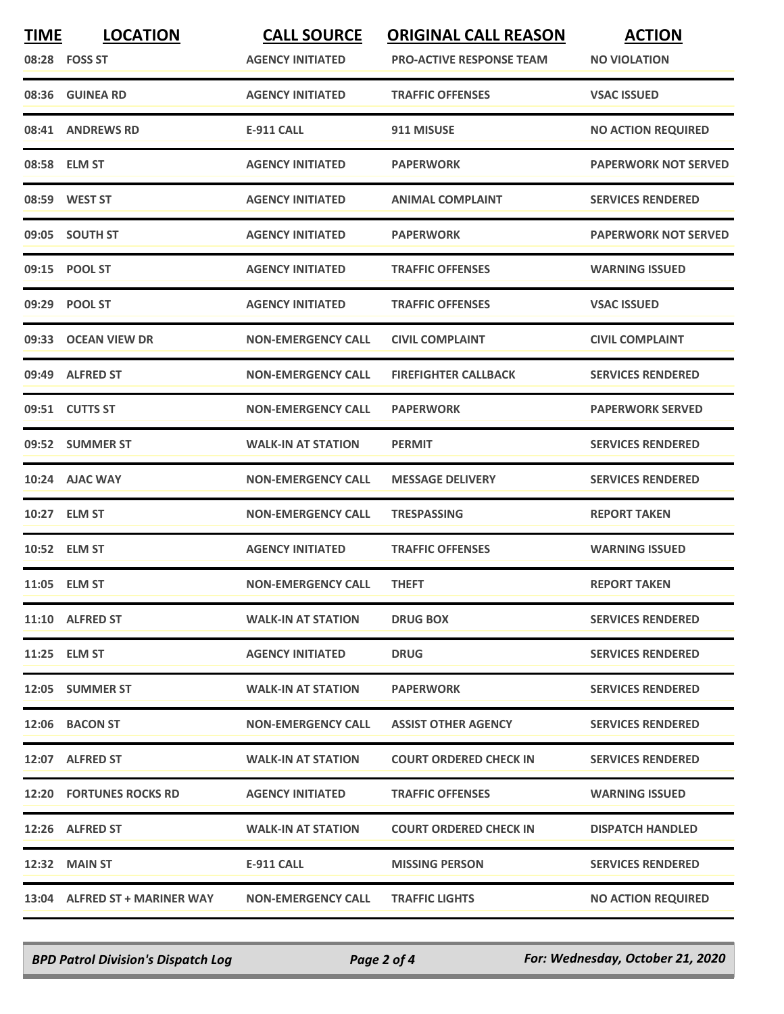| <b>TIME</b> | <b>LOCATION</b><br>08:28 FOSS ST | <b>CALL SOURCE</b><br><b>AGENCY INITIATED</b> | <b>ORIGINAL CALL REASON</b><br><b>PRO-ACTIVE RESPONSE TEAM</b> | <b>ACTION</b><br><b>NO VIOLATION</b> |
|-------------|----------------------------------|-----------------------------------------------|----------------------------------------------------------------|--------------------------------------|
|             | 08:36 GUINEA RD                  | <b>AGENCY INITIATED</b>                       | <b>TRAFFIC OFFENSES</b>                                        | <b>VSAC ISSUED</b>                   |
|             | 08:41 ANDREWS RD                 | <b>E-911 CALL</b>                             | 911 MISUSE                                                     | <b>NO ACTION REQUIRED</b>            |
|             | 08:58 ELM ST                     | <b>AGENCY INITIATED</b>                       | <b>PAPERWORK</b>                                               | <b>PAPERWORK NOT SERVED</b>          |
|             | 08:59 WEST ST                    | <b>AGENCY INITIATED</b>                       | <b>ANIMAL COMPLAINT</b>                                        | <b>SERVICES RENDERED</b>             |
|             | 09:05 SOUTH ST                   | <b>AGENCY INITIATED</b>                       | <b>PAPERWORK</b>                                               | <b>PAPERWORK NOT SERVED</b>          |
|             | 09:15 POOL ST                    | <b>AGENCY INITIATED</b>                       | <b>TRAFFIC OFFENSES</b>                                        | <b>WARNING ISSUED</b>                |
|             | 09:29 POOL ST                    | <b>AGENCY INITIATED</b>                       | <b>TRAFFIC OFFENSES</b>                                        | <b>VSAC ISSUED</b>                   |
|             | 09:33 OCEAN VIEW DR              | <b>NON-EMERGENCY CALL</b>                     | <b>CIVIL COMPLAINT</b>                                         | <b>CIVIL COMPLAINT</b>               |
| 09:49       | <b>ALFRED ST</b>                 | <b>NON-EMERGENCY CALL</b>                     | <b>FIREFIGHTER CALLBACK</b>                                    | <b>SERVICES RENDERED</b>             |
|             | 09:51 CUTTS ST                   | <b>NON-EMERGENCY CALL</b>                     | <b>PAPERWORK</b>                                               | <b>PAPERWORK SERVED</b>              |
|             | 09:52 SUMMER ST                  | <b>WALK-IN AT STATION</b>                     | <b>PERMIT</b>                                                  | <b>SERVICES RENDERED</b>             |
|             | 10:24 AJAC WAY                   | <b>NON-EMERGENCY CALL</b>                     | <b>MESSAGE DELIVERY</b>                                        | <b>SERVICES RENDERED</b>             |
|             | 10:27 ELM ST                     | <b>NON-EMERGENCY CALL</b>                     | <b>TRESPASSING</b>                                             | <b>REPORT TAKEN</b>                  |
|             | 10:52 ELM ST                     | <b>AGENCY INITIATED</b>                       | <b>TRAFFIC OFFENSES</b>                                        | <b>WARNING ISSUED</b>                |
|             | 11:05 ELM ST                     | <b>NON-EMERGENCY CALL</b>                     | <b>THEFT</b>                                                   | <b>REPORT TAKEN</b>                  |
|             | 11:10 ALFRED ST                  | <b>WALK-IN AT STATION</b>                     | <b>DRUG BOX</b>                                                | <b>SERVICES RENDERED</b>             |
|             | 11:25 ELM ST                     | <b>AGENCY INITIATED</b>                       | <b>DRUG</b>                                                    | <b>SERVICES RENDERED</b>             |
|             | 12:05 SUMMER ST                  | <b>WALK-IN AT STATION</b>                     | <b>PAPERWORK</b>                                               | <b>SERVICES RENDERED</b>             |
|             | 12:06 BACON ST                   | <b>NON-EMERGENCY CALL</b>                     | <b>ASSIST OTHER AGENCY</b>                                     | <b>SERVICES RENDERED</b>             |
|             | 12:07 ALFRED ST                  | <b>WALK-IN AT STATION</b>                     | <b>COURT ORDERED CHECK IN</b>                                  | <b>SERVICES RENDERED</b>             |
|             | 12:20 FORTUNES ROCKS RD          | <b>AGENCY INITIATED</b>                       | <b>TRAFFIC OFFENSES</b>                                        | <b>WARNING ISSUED</b>                |
|             | 12:26 ALFRED ST                  | <b>WALK-IN AT STATION</b>                     | <b>COURT ORDERED CHECK IN</b>                                  | <b>DISPATCH HANDLED</b>              |
|             | 12:32 MAIN ST                    | E-911 CALL                                    | <b>MISSING PERSON</b>                                          | <b>SERVICES RENDERED</b>             |
|             | 13:04 ALFRED ST + MARINER WAY    | <b>NON-EMERGENCY CALL</b>                     | <b>TRAFFIC LIGHTS</b>                                          | <b>NO ACTION REQUIRED</b>            |

*BPD Patrol Division's Dispatch Log Page 2 of 4 For: Wednesday, October 21, 2020*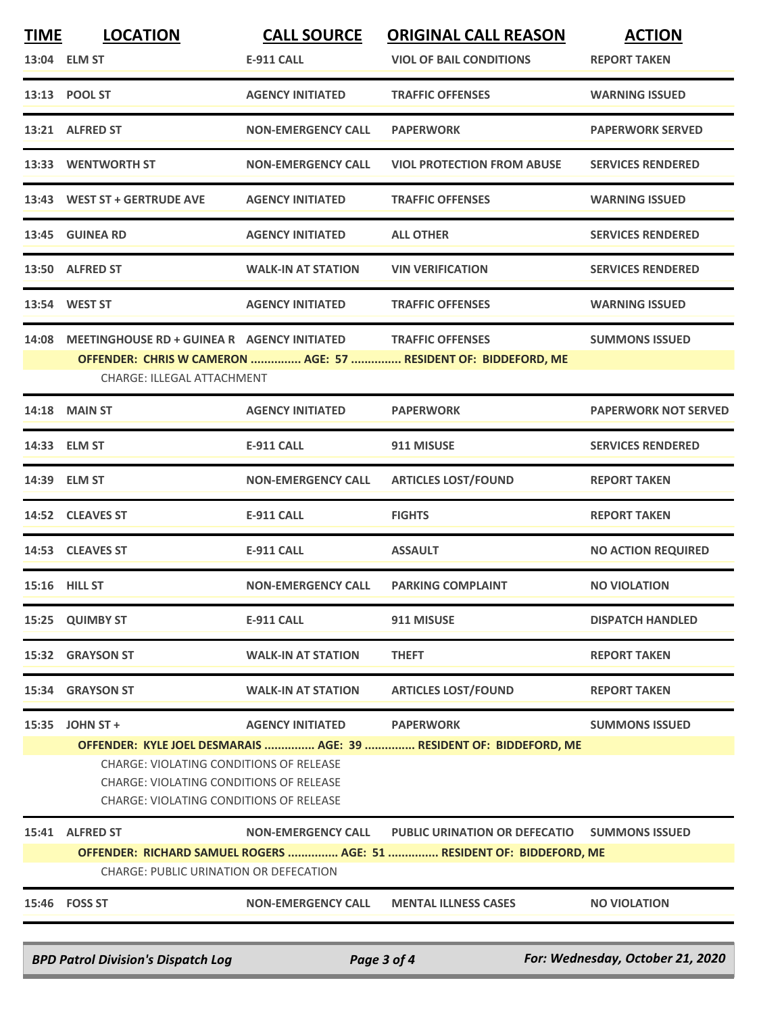| <b>TIME</b>                                                                                  | <b>LOCATION</b>                                                    | <b>CALL SOURCE</b>        | <b>ORIGINAL CALL REASON</b>                                          | <b>ACTION</b>               |  |
|----------------------------------------------------------------------------------------------|--------------------------------------------------------------------|---------------------------|----------------------------------------------------------------------|-----------------------------|--|
|                                                                                              | 13:04 ELM ST                                                       | <b>E-911 CALL</b>         | <b>VIOL OF BAIL CONDITIONS</b>                                       | <b>REPORT TAKEN</b>         |  |
|                                                                                              | 13:13 POOL ST                                                      | <b>AGENCY INITIATED</b>   | <b>TRAFFIC OFFENSES</b>                                              | <b>WARNING ISSUED</b>       |  |
|                                                                                              | 13:21 ALFRED ST                                                    | <b>NON-EMERGENCY CALL</b> | <b>PAPERWORK</b>                                                     | <b>PAPERWORK SERVED</b>     |  |
|                                                                                              | 13:33 WENTWORTH ST                                                 | <b>NON-EMERGENCY CALL</b> | <b>VIOL PROTECTION FROM ABUSE</b>                                    | <b>SERVICES RENDERED</b>    |  |
|                                                                                              | 13:43 WEST ST + GERTRUDE AVE                                       | <b>AGENCY INITIATED</b>   | <b>TRAFFIC OFFENSES</b>                                              | <b>WARNING ISSUED</b>       |  |
|                                                                                              | 13:45 GUINEA RD                                                    | <b>AGENCY INITIATED</b>   | <b>ALL OTHER</b>                                                     | <b>SERVICES RENDERED</b>    |  |
|                                                                                              | 13:50 ALFRED ST                                                    | <b>WALK-IN AT STATION</b> | <b>VIN VERIFICATION</b>                                              | <b>SERVICES RENDERED</b>    |  |
|                                                                                              | 13:54 WEST ST                                                      | <b>AGENCY INITIATED</b>   | <b>TRAFFIC OFFENSES</b>                                              | <b>WARNING ISSUED</b>       |  |
|                                                                                              | 14:08 MEETINGHOUSE RD + GUINEA R AGENCY INITIATED TRAFFIC OFFENSES |                           |                                                                      | <b>SUMMONS ISSUED</b>       |  |
|                                                                                              | CHARGE: ILLEGAL ATTACHMENT                                         |                           | OFFENDER: CHRIS W CAMERON  AGE: 57  RESIDENT OF: BIDDEFORD, ME       |                             |  |
|                                                                                              | <b>14:18 MAIN ST</b>                                               | <b>AGENCY INITIATED</b>   | <b>PAPERWORK</b>                                                     | <b>PAPERWORK NOT SERVED</b> |  |
|                                                                                              | 14:33 ELM ST                                                       | <b>E-911 CALL</b>         | 911 MISUSE                                                           | <b>SERVICES RENDERED</b>    |  |
|                                                                                              | 14:39 ELM ST                                                       | <b>NON-EMERGENCY CALL</b> | <b>ARTICLES LOST/FOUND</b>                                           | <b>REPORT TAKEN</b>         |  |
|                                                                                              | 14:52 CLEAVES ST                                                   | <b>E-911 CALL</b>         | <b>FIGHTS</b>                                                        | <b>REPORT TAKEN</b>         |  |
|                                                                                              | 14:53 CLEAVES ST                                                   | <b>E-911 CALL</b>         | <b>ASSAULT</b>                                                       | <b>NO ACTION REQUIRED</b>   |  |
|                                                                                              | 15:16 HILL ST                                                      | <b>NON-EMERGENCY CALL</b> | <b>PARKING COMPLAINT</b>                                             | <b>NO VIOLATION</b>         |  |
|                                                                                              | 15:25 QUIMBY ST                                                    | <b>E-911 CALL</b>         | 911 MISUSE                                                           | <b>DISPATCH HANDLED</b>     |  |
|                                                                                              | 15:32 GRAYSON ST                                                   | <b>WALK-IN AT STATION</b> | <b>THEFT</b>                                                         | <b>REPORT TAKEN</b>         |  |
|                                                                                              | 15:34 GRAYSON ST                                                   | <b>WALK-IN AT STATION</b> | <b>ARTICLES LOST/FOUND</b>                                           | <b>REPORT TAKEN</b>         |  |
|                                                                                              | 15:35 JOHN ST +                                                    | <b>AGENCY INITIATED</b>   | <b>PAPERWORK</b>                                                     | <b>SUMMONS ISSUED</b>       |  |
|                                                                                              | OFFENDER: KYLE JOEL DESMARAIS  AGE: 39  RESIDENT OF: BIDDEFORD, ME |                           |                                                                      |                             |  |
|                                                                                              | <b>CHARGE: VIOLATING CONDITIONS OF RELEASE</b>                     |                           |                                                                      |                             |  |
|                                                                                              | <b>CHARGE: VIOLATING CONDITIONS OF RELEASE</b>                     |                           |                                                                      |                             |  |
|                                                                                              | <b>CHARGE: VIOLATING CONDITIONS OF RELEASE</b>                     |                           |                                                                      |                             |  |
|                                                                                              | 15:41 ALFRED ST                                                    | <b>NON-EMERGENCY CALL</b> | <b>PUBLIC URINATION OR DEFECATIO</b>                                 | <b>SUMMONS ISSUED</b>       |  |
|                                                                                              |                                                                    |                           | OFFENDER: RICHARD SAMUEL ROGERS  AGE: 51  RESIDENT OF: BIDDEFORD, ME |                             |  |
|                                                                                              | CHARGE: PUBLIC URINATION OR DEFECATION                             |                           |                                                                      |                             |  |
|                                                                                              | 15:46    FOSS ST                                                   | <b>NON-EMERGENCY CALL</b> | <b>MENTAL ILLNESS CASES</b>                                          | <b>NO VIOLATION</b>         |  |
|                                                                                              |                                                                    |                           |                                                                      |                             |  |
| For: Wednesday, October 21, 2020<br><b>BPD Patrol Division's Dispatch Log</b><br>Page 3 of 4 |                                                                    |                           |                                                                      |                             |  |